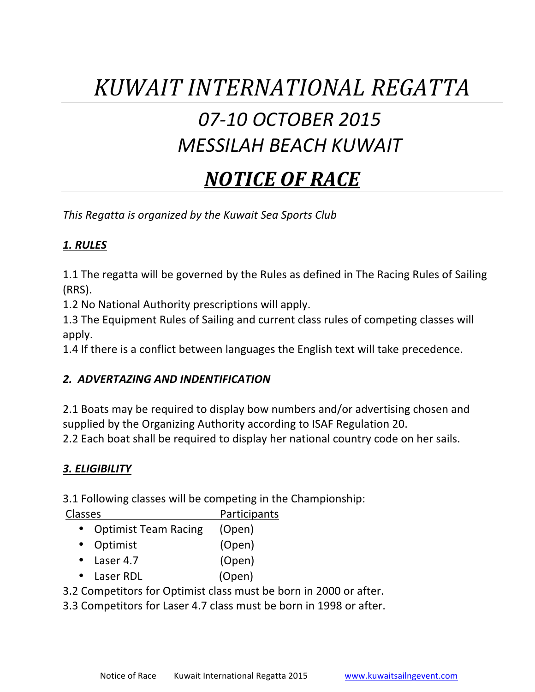# *KUWAIT INTERNATIONAL REGATTA*

### *07-10 OCTOBER 2015 MESSILAH BEACH KUWAIT*

## *NOTICE OF RACE*

*This Regatta is organized by the Kuwait Sea Sports Club* 

#### *1. RULES*

1.1 The regatta will be governed by the Rules as defined in The Racing Rules of Sailing (RRS). 

1.2 No National Authority prescriptions will apply.

1.3 The Equipment Rules of Sailing and current class rules of competing classes will apply.

1.4 If there is a conflict between languages the English text will take precedence.

#### *2. ADVERTAZING AND INDENTIFICATION*

2.1 Boats may be required to display bow numbers and/or advertising chosen and supplied by the Organizing Authority according to ISAF Regulation 20.

2.2 Each boat shall be required to display her national country code on her sails.

#### *3. ELIGIBILITY*

3.1 Following classes will be competing in the Championship:

| <b>Classes</b> |                             | Participants |
|----------------|-----------------------------|--------------|
|                | <b>Optimist Team Racing</b> | (Open)       |

|           | OPUITIIJE TURITI RUUITIR | $\overline{C}$ |
|-----------|--------------------------|----------------|
| $\bullet$ | Optimist                 | (Open)         |

- Laser 4.7 (Open)
- Laser RDL (Open)

3.2 Competitors for Optimist class must be born in 2000 or after.

3.3 Competitors for Laser 4.7 class must be born in 1998 or after.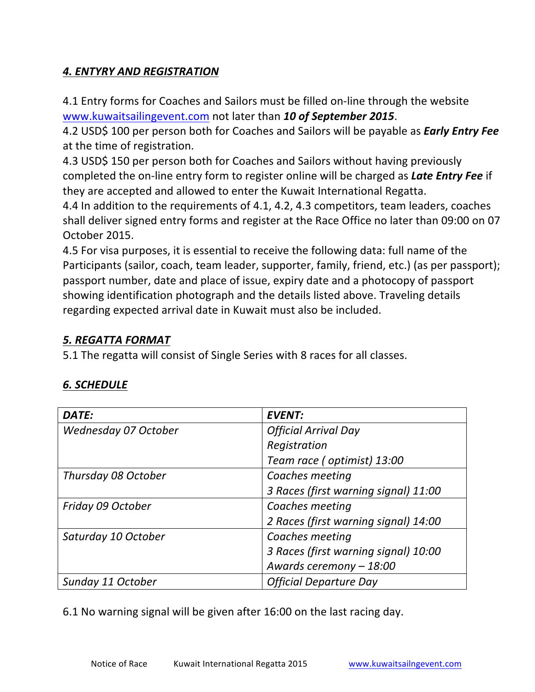#### *4. ENTYRY AND REGISTRATION*

4.1 Entry forms for Coaches and Sailors must be filled on-line through the website www.kuwaitsailingevent.com not later than 10 of September 2015.

4.2 USD\$ 100 per person both for Coaches and Sailors will be payable as *Early Entry Fee* at the time of registration.

4.3 USD\$ 150 per person both for Coaches and Sailors without having previously completed the on-line entry form to register online will be charged as **Late Entry Fee** if they are accepted and allowed to enter the Kuwait International Regatta.

4.4 In addition to the requirements of 4.1, 4.2, 4.3 competitors, team leaders, coaches shall deliver signed entry forms and register at the Race Office no later than 09:00 on 07 October 2015.

4.5 For visa purposes, it is essential to receive the following data: full name of the Participants (sailor, coach, team leader, supporter, family, friend, etc.) (as per passport); passport number, date and place of issue, expiry date and a photocopy of passport showing identification photograph and the details listed above. Traveling details regarding expected arrival date in Kuwait must also be included.

#### *5. REGATTA FORMAT*

5.1 The regatta will consist of Single Series with 8 races for all classes.

#### *6. SCHEDULE*

| DATE:                | <b>EVENT:</b>                        |
|----------------------|--------------------------------------|
| Wednesday 07 October | <b>Official Arrival Day</b>          |
|                      | Registration                         |
|                      | Team race (optimist) 13:00           |
| Thursday 08 October  | Coaches meeting                      |
|                      | 3 Races (first warning signal) 11:00 |
| Friday 09 October    | Coaches meeting                      |
|                      | 2 Races (first warning signal) 14:00 |
| Saturday 10 October  | Coaches meeting                      |
|                      | 3 Races (first warning signal) 10:00 |
|                      | Awards ceremony - 18:00              |
| Sunday 11 October    | <b>Official Departure Day</b>        |

6.1 No warning signal will be given after 16:00 on the last racing day.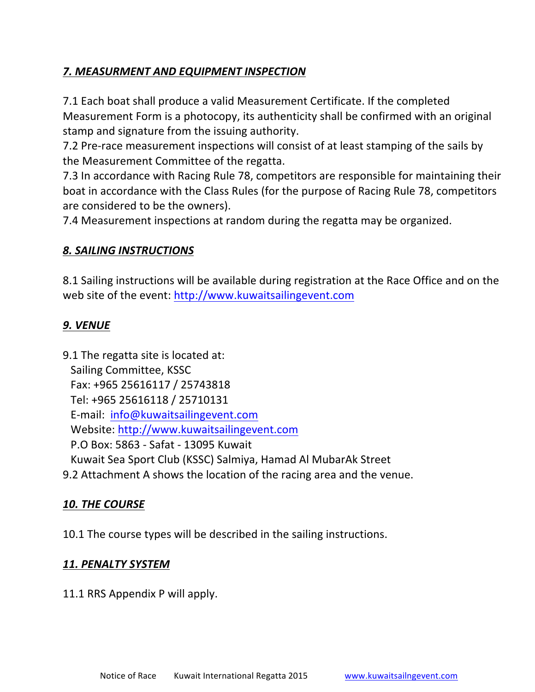#### **7. MEASURMENT AND EQUIPMENT INSPECTION**

7.1 Each boat shall produce a valid Measurement Certificate. If the completed Measurement Form is a photocopy, its authenticity shall be confirmed with an original stamp and signature from the issuing authority.

7.2 Pre-race measurement inspections will consist of at least stamping of the sails by the Measurement Committee of the regatta.

7.3 In accordance with Racing Rule 78, competitors are responsible for maintaining their boat in accordance with the Class Rules (for the purpose of Racing Rule 78, competitors are considered to be the owners).

7.4 Measurement inspections at random during the regatta may be organized.

#### **8. SAILING INSTRUCTIONS**

8.1 Sailing instructions will be available during registration at the Race Office and on the web site of the event: http://www.kuwaitsailingevent.com

#### *9. VENUE*

9.1 The regatta site is located at: Sailing Committee, KSSC Fax: +965 25616117 / 25743818 Tel: +965 25616118 / 25710131 E-mail: info@kuwaitsailingevent.com Website: http://www.kuwaitsailingevent.com P.O Box: 5863 - Safat - 13095 Kuwait Kuwait Sea Sport Club (KSSC) Salmiya, Hamad Al MubarAk Street

9.2 Attachment A shows the location of the racing area and the venue.

#### 10. THE COURSE

10.1 The course types will be described in the sailing instructions.

#### *11. PENALTY SYSTEM*

11.1 RRS Appendix P will apply.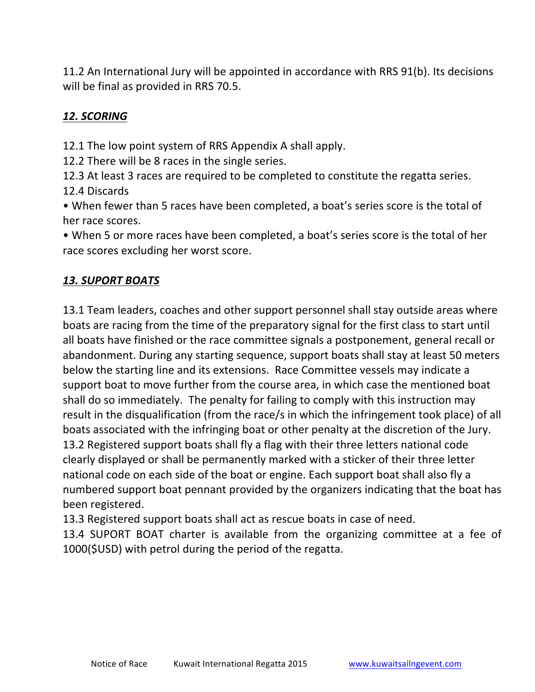11.2 An International Jury will be appointed in accordance with RRS 91(b). Its decisions will be final as provided in RRS 70.5.

#### 12. SCORING

12.1 The low point system of RRS Appendix A shall apply.

12.2 There will be 8 races in the single series.

12.3 At least 3 races are required to be completed to constitute the regatta series. 12.4 Discards

• When fewer than 5 races have been completed, a boat's series score is the total of her race scores.

• When 5 or more races have been completed, a boat's series score is the total of her race scores excluding her worst score.

#### *13. SUPORT BOATS*

13.1 Team leaders, coaches and other support personnel shall stay outside areas where boats are racing from the time of the preparatory signal for the first class to start until all boats have finished or the race committee signals a postponement, general recall or abandonment. During any starting sequence, support boats shall stay at least 50 meters below the starting line and its extensions. Race Committee vessels may indicate a support boat to move further from the course area, in which case the mentioned boat shall do so immediately. The penalty for failing to comply with this instruction may result in the disqualification (from the race/s in which the infringement took place) of all boats associated with the infringing boat or other penalty at the discretion of the Jury. 13.2 Registered support boats shall fly a flag with their three letters national code clearly displayed or shall be permanently marked with a sticker of their three letter national code on each side of the boat or engine. Each support boat shall also fly a numbered support boat pennant provided by the organizers indicating that the boat has been registered.

13.3 Registered support boats shall act as rescue boats in case of need.

13.4 SUPORT BOAT charter is available from the organizing committee at a fee of 1000(\$USD) with petrol during the period of the regatta.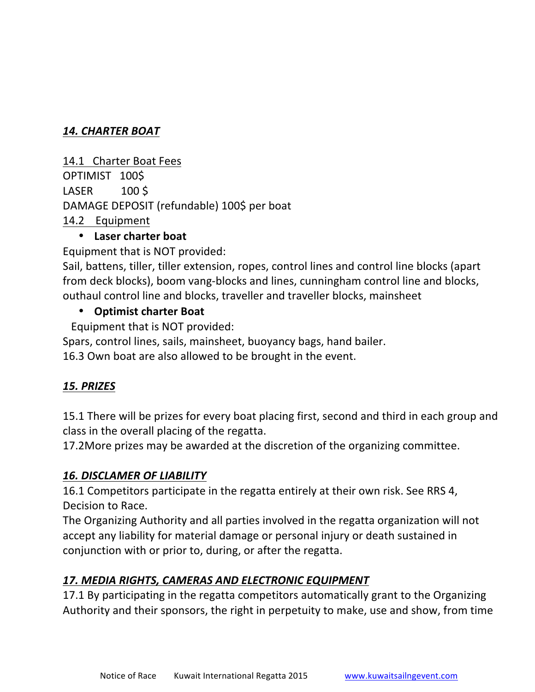#### *14. CHARTER BOAT*

14.1 Charter Boat Fees OPTIMIST 100\$  $LASER$  100 \$ DAMAGE DEPOSIT (refundable) 100\$ per boat 14.2 Equipment

#### • **Laser charter boat**

Equipment that is NOT provided:

Sail, battens, tiller, tiller extension, ropes, control lines and control line blocks (apart from deck blocks), boom vang-blocks and lines, cunningham control line and blocks, outhaul control line and blocks, traveller and traveller blocks, mainsheet

#### **• Optimist charter Boat**

Equipment that is NOT provided:

Spars, control lines, sails, mainsheet, buoyancy bags, hand bailer.

16.3 Own boat are also allowed to be brought in the event.

#### *15. PRIZES*

15.1 There will be prizes for every boat placing first, second and third in each group and class in the overall placing of the regatta.

17.2More prizes may be awarded at the discretion of the organizing committee.

#### **16. DISCLAMER OF LIABILITY**

16.1 Competitors participate in the regatta entirely at their own risk. See RRS 4, Decision to Race.

The Organizing Authority and all parties involved in the regatta organization will not accept any liability for material damage or personal injury or death sustained in conjunction with or prior to, during, or after the regatta.

#### 17. MEDIA RIGHTS, CAMERAS AND ELECTRONIC EQUIPMENT

17.1 By participating in the regatta competitors automatically grant to the Organizing Authority and their sponsors, the right in perpetuity to make, use and show, from time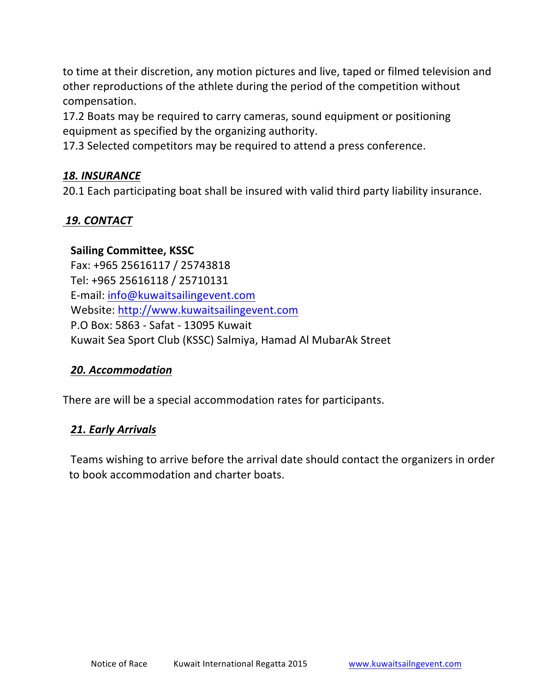to time at their discretion, any motion pictures and live, taped or filmed television and other reproductions of the athlete during the period of the competition without compensation. 

17.2 Boats may be required to carry cameras, sound equipment or positioning equipment as specified by the organizing authority.

17.3 Selected competitors may be required to attend a press conference.

#### *18. INSURANCE*

20.1 Each participating boat shall be insured with valid third party liability insurance.

#### *19. CONTACT*

#### **Sailing Committee, KSSC**

Fax: +965 25616117 / 25743818 Tel: +965 25616118 / 25710131 E-mail: info@kuwaitsailingevent.com Website: http://www.kuwaitsailingevent.com P.O Box: 5863 - Safat - 13095 Kuwait Kuwait Sea Sport Club (KSSC) Salmiya, Hamad Al MubarAk Street

#### *20. Accommodation*

There are will be a special accommodation rates for participants.

#### *21. Early Arrivals*

Teams wishing to arrive before the arrival date should contact the organizers in order to book accommodation and charter boats.